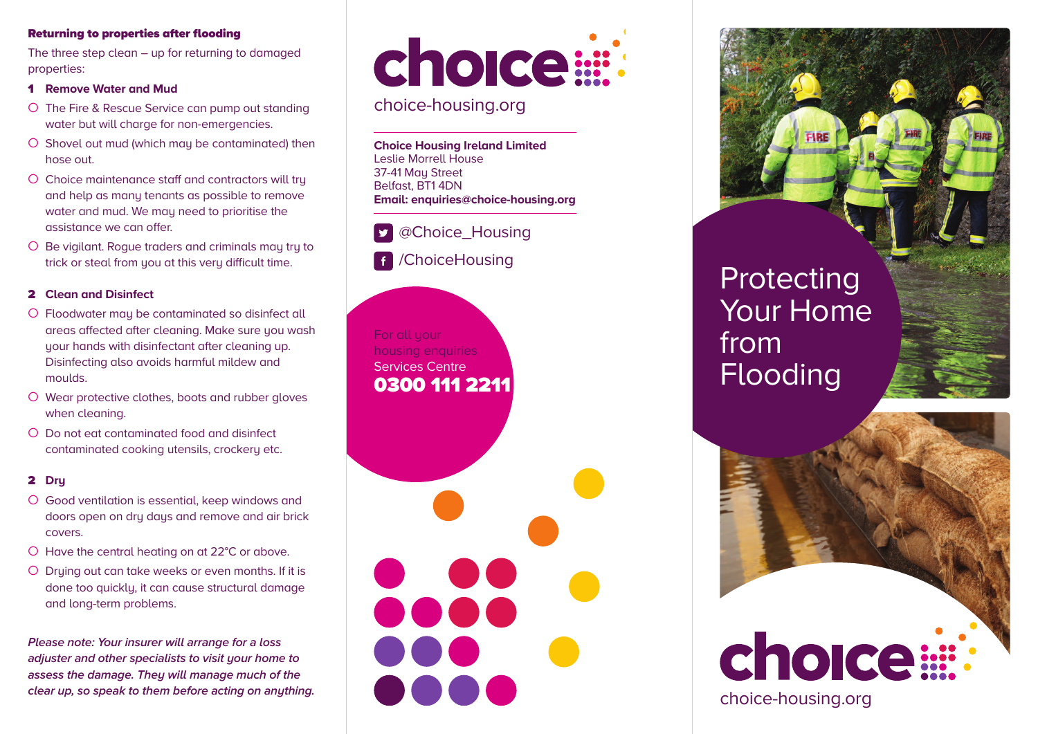#### **Returning to properties after flooding**

The three step clean – up for returning to damaged properties:

- **1 Remove Water and Mud**
- O The Fire & Rescue Service can pump out standing water but will charge for non-emergencies.
- O Shovel out mud (which may be contaminated) then hose out.
- O Choice maintenance staff and contractors will try and help as many tenants as possible to remove water and mud. We may need to prioritise the assistance we can offer.
- O Be vigilant. Rogue traders and criminals may try to trick or steal from you at this very difficult time.

#### **2 Clean and Disinfect**

- O Floodwater may be contaminated so disinfect all areas affected after cleaning. Make sure you wash your hands with disinfectant after cleaning up. Disinfecting also avoids harmful mildew and moulds.
- O Wear protective clothes, boots and rubber gloves when cleaning.
- O Do not eat contaminated food and disinfect contaminated cooking utensils, crockery etc.

#### **2 Dry**

- O Good ventilation is essential, keep windows and doors open on dry days and remove and air brick covers.
- O Have the central heating on at 22°C or above.
- O Drying out can take weeks or even months. If it is done too quickly, it can cause structural damage and long-term problems.

*Please note: Your insurer will arrange for a loss adjuster and other specialists to visit your home to assess the damage. They will manage much of the clear up, so speak to them before acting on anything.*



### choice-housing.org

**Choice Housing Ireland Limited** Leslie Morrell House 37-41 Mau Street Belfast, BT1 4DN **Email: enquiries@choice-housing.org**

## @Choice\_Housing

/ChoiceHousing  $\vert f \vert$ 

For all your housing enquiries Services Centre **0300 111 2211**

**Protecting** Your Home from Flooding



choice-housing.org